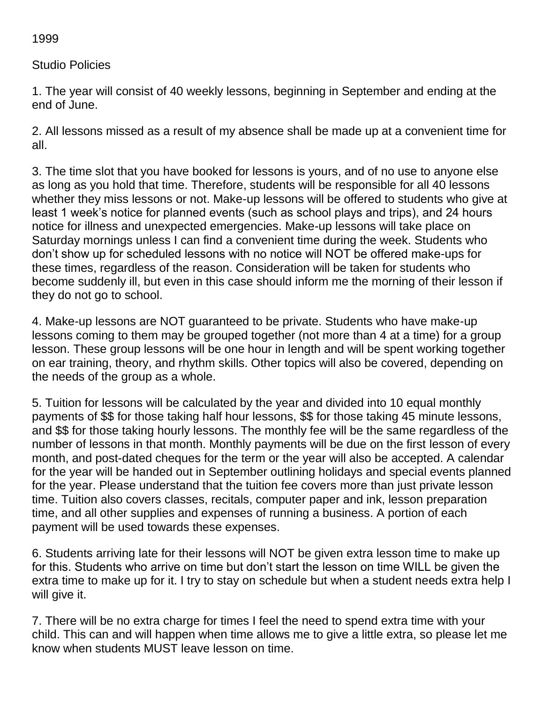1999

Studio Policies

1. The year will consist of 40 weekly lessons, beginning in September and ending at the end of June.

2. All lessons missed as a result of my absence shall be made up at a convenient time for all.

3. The time slot that you have booked for lessons is yours, and of no use to anyone else as long as you hold that time. Therefore, students will be responsible for all 40 lessons whether they miss lessons or not. Make-up lessons will be offered to students who give at least 1 week's notice for planned events (such as school plays and trips), and 24 hours notice for illness and unexpected emergencies. Make-up lessons will take place on Saturday mornings unless I can find a convenient time during the week. Students who don't show up for scheduled lessons with no notice will NOT be offered make-ups for these times, regardless of the reason. Consideration will be taken for students who become suddenly ill, but even in this case should inform me the morning of their lesson if they do not go to school.

4. Make-up lessons are NOT guaranteed to be private. Students who have make-up lessons coming to them may be grouped together (not more than 4 at a time) for a group lesson. These group lessons will be one hour in length and will be spent working together on ear training, theory, and rhythm skills. Other topics will also be covered, depending on the needs of the group as a whole.

5. Tuition for lessons will be calculated by the year and divided into 10 equal monthly payments of \$\$ for those taking half hour lessons, \$\$ for those taking 45 minute lessons, and \$\$ for those taking hourly lessons. The monthly fee will be the same regardless of the number of lessons in that month. Monthly payments will be due on the first lesson of every month, and post-dated cheques for the term or the year will also be accepted. A calendar for the year will be handed out in September outlining holidays and special events planned for the year. Please understand that the tuition fee covers more than just private lesson time. Tuition also covers classes, recitals, computer paper and ink, lesson preparation time, and all other supplies and expenses of running a business. A portion of each payment will be used towards these expenses.

6. Students arriving late for their lessons will NOT be given extra lesson time to make up for this. Students who arrive on time but don't start the lesson on time WILL be given the extra time to make up for it. I try to stay on schedule but when a student needs extra help I will give it.

7. There will be no extra charge for times I feel the need to spend extra time with your child. This can and will happen when time allows me to give a little extra, so please let me know when students MUST leave lesson on time.